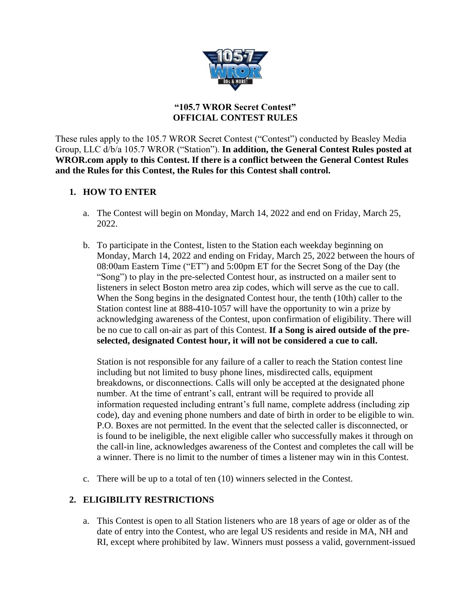

# **"105.7 WROR Secret Contest" OFFICIAL CONTEST RULES**

These rules apply to the 105.7 WROR Secret Contest ("Contest") conducted by Beasley Media Group, LLC d/b/a 105.7 WROR ("Station"). **In addition, the General Contest Rules posted at WROR.com apply to this Contest. If there is a conflict between the General Contest Rules and the Rules for this Contest, the Rules for this Contest shall control.**

# **1. HOW TO ENTER**

- a. The Contest will begin on Monday, March 14, 2022 and end on Friday, March 25, 2022.
- b. To participate in the Contest, listen to the Station each weekday beginning on Monday, March 14, 2022 and ending on Friday, March 25, 2022 between the hours of 08:00am Eastern Time ("ET") and 5:00pm ET for the Secret Song of the Day (the "Song") to play in the pre-selected Contest hour, as instructed on a mailer sent to listeners in select Boston metro area zip codes, which will serve as the cue to call. When the Song begins in the designated Contest hour, the tenth (10th) caller to the Station contest line at 888-410-1057 will have the opportunity to win a prize by acknowledging awareness of the Contest, upon confirmation of eligibility. There will be no cue to call on-air as part of this Contest. **If a Song is aired outside of the preselected, designated Contest hour, it will not be considered a cue to call.**

Station is not responsible for any failure of a caller to reach the Station contest line including but not limited to busy phone lines, misdirected calls, equipment breakdowns, or disconnections. Calls will only be accepted at the designated phone number. At the time of entrant's call, entrant will be required to provide all information requested including entrant's full name, complete address (including zip code), day and evening phone numbers and date of birth in order to be eligible to win. P.O. Boxes are not permitted. In the event that the selected caller is disconnected, or is found to be ineligible, the next eligible caller who successfully makes it through on the call-in line, acknowledges awareness of the Contest and completes the call will be a winner. There is no limit to the number of times a listener may win in this Contest.

c. There will be up to a total of ten (10) winners selected in the Contest.

# **2. ELIGIBILITY RESTRICTIONS**

a. This Contest is open to all Station listeners who are 18 years of age or older as of the date of entry into the Contest, who are legal US residents and reside in MA, NH and RI, except where prohibited by law. Winners must possess a valid, government-issued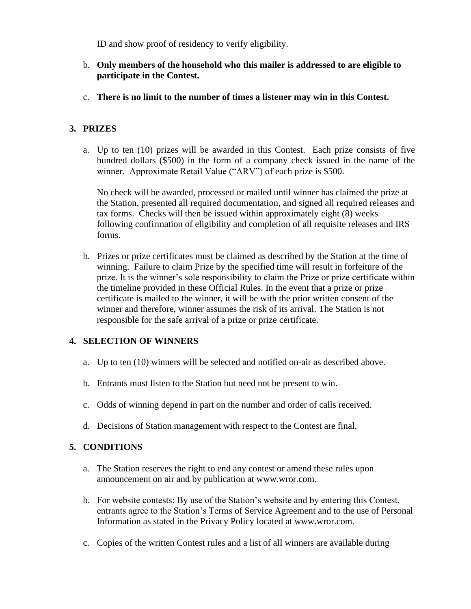ID and show proof of residency to verify eligibility.

- b. **Only members of the household who this mailer is addressed to are eligible to participate in the Contest.**
- c. **There is no limit to the number of times a listener may win in this Contest.**

# **3. PRIZES**

a. Up to ten (10) prizes will be awarded in this Contest. Each prize consists of five hundred dollars (\$500) in the form of a company check issued in the name of the winner. Approximate Retail Value ("ARV") of each prize is \$500.

No check will be awarded, processed or mailed until winner has claimed the prize at the Station, presented all required documentation, and signed all required releases and tax forms. Checks will then be issued within approximately eight (8) weeks following confirmation of eligibility and completion of all requisite releases and IRS forms.

b. Prizes or prize certificates must be claimed as described by the Station at the time of winning. Failure to claim Prize by the specified time will result in forfeiture of the prize. It is the winner's sole responsibility to claim the Prize or prize certificate within the timeline provided in these Official Rules. In the event that a prize or prize certificate is mailed to the winner, it will be with the prior written consent of the winner and therefore, winner assumes the risk of its arrival. The Station is not responsible for the safe arrival of a prize or prize certificate.

# **4. SELECTION OF WINNERS**

- a. Up to ten (10) winners will be selected and notified on-air as described above.
- b. Entrants must listen to the Station but need not be present to win.
- c. Odds of winning depend in part on the number and order of calls received.
- d. Decisions of Station management with respect to the Contest are final.

# **5. CONDITIONS**

- a. The Station reserves the right to end any contest or amend these rules upon announcement on air and by publication at www.wror.com.
- b. For website contests: By use of the Station's website and by entering this Contest, entrants agree to the Station's Terms of Service Agreement and to the use of Personal Information as stated in the Privacy Policy located at www.wror.com.
- c. Copies of the written Contest rules and a list of all winners are available during